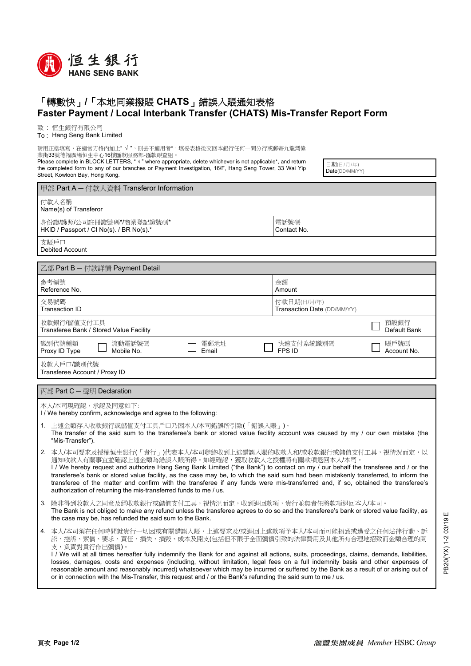

## 「轉數快」**/**「本地同業撥賬 **CHATS**」錯誤入賬通知表格 **Faster Payment / Local Interbank Transfer (CHATS) Mis-Transfer Report Form**

致 : 恒生銀行有限公司

To : Hang Seng Bank Limited

請用正楷填寫,在適當方格內加上" √ ",刪去不適用者\*,填妥表格後交回本銀行任何一間分行或郵寄九龍灣偉 業街33號德福廣場恒生中心16樓匯款服務部-匯款跟查組。

Please complete in BLOCK LETTERS, " √ " where appropriate, delete whichever is not applicable\*, and return the completed form to any of our branches or Payment Investigation, 16/F, Hang Seng Tower, 33 Wai Yip Street, Kowloon Bay, Hong Kong.

日期(日/月/年) Date(DD/MM/YY)

| 甲部 Part A - 付款人資料 Transferor Information                                          |                                                                                                                                                                                                                                                                                                                                                                                                                                                                                                                                                                                                                                                                                          |                                            |  |
|-----------------------------------------------------------------------------------|------------------------------------------------------------------------------------------------------------------------------------------------------------------------------------------------------------------------------------------------------------------------------------------------------------------------------------------------------------------------------------------------------------------------------------------------------------------------------------------------------------------------------------------------------------------------------------------------------------------------------------------------------------------------------------------|--------------------------------------------|--|
| 付款人名稱<br>Name(s) of Transferor                                                    |                                                                                                                                                                                                                                                                                                                                                                                                                                                                                                                                                                                                                                                                                          |                                            |  |
|                                                                                   | 身份證/護照/公司註冊證號碼*/商業登記證號碼*<br>HKID / Passport / CI No(s). / BR No(s).*                                                                                                                                                                                                                                                                                                                                                                                                                                                                                                                                                                                                                     | 電話號碼<br>Contact No.                        |  |
| 支賬戶口<br>Debited Account                                                           |                                                                                                                                                                                                                                                                                                                                                                                                                                                                                                                                                                                                                                                                                          |                                            |  |
| 乙部 Part B - 付款詳情 Payment Detail                                                   |                                                                                                                                                                                                                                                                                                                                                                                                                                                                                                                                                                                                                                                                                          |                                            |  |
|                                                                                   | 參考編號<br>Reference No.                                                                                                                                                                                                                                                                                                                                                                                                                                                                                                                                                                                                                                                                    | 金額<br>Amount                               |  |
|                                                                                   | 交易號碼<br><b>Transaction ID</b>                                                                                                                                                                                                                                                                                                                                                                                                                                                                                                                                                                                                                                                            | 付款日期(日/月/年)<br>Transaction Date (DD/MM/YY) |  |
| 預設銀行<br>收款銀行/儲值支付工具<br>Default Bank<br>Transferee Bank / Stored Value Facility    |                                                                                                                                                                                                                                                                                                                                                                                                                                                                                                                                                                                                                                                                                          |                                            |  |
|                                                                                   | 識別代號種類<br>流動電話號碼<br>電郵地址<br>Proxy ID Type<br>Mobile No.<br>Email                                                                                                                                                                                                                                                                                                                                                                                                                                                                                                                                                                                                                         | 賬戶號碼<br>快速支付系統識別碼<br>FPS ID<br>Account No. |  |
| 收款人戶口/識別代號<br>Transferee Account / Proxy ID                                       |                                                                                                                                                                                                                                                                                                                                                                                                                                                                                                                                                                                                                                                                                          |                                            |  |
| 丙部 Part C - 聲明 Declaration                                                        |                                                                                                                                                                                                                                                                                                                                                                                                                                                                                                                                                                                                                                                                                          |                                            |  |
| 本人/本司現確認,承認及同意如下:<br>I/We hereby confirm, acknowledge and agree to the following: |                                                                                                                                                                                                                                                                                                                                                                                                                                                                                                                                                                                                                                                                                          |                                            |  |
|                                                                                   | 1. 上述金額存入收款銀行或儲值支付工具戶口乃因本人/本司錯誤所引致(「錯誤入賬」)。<br>The transfer of the said sum to the transferee's bank or stored value facility account was caused by my / our own mistake (the<br>"Mis-Transfer").                                                                                                                                                                                                                                                                                                                                                                                                                                                                                        |                                            |  |
|                                                                                   | 2. 本人/本司要求及授權恒生銀行(「貴行」)代表本人/本司聯絡收到上述錯誤入賬的收款人和/或收款銀行或儲值支付工具,視情況而定,以<br>通知收款人有關事宜並確認上述金額為錯誤入賬所得。如經確認,獲取收款人之授權將有關款項退回本人/本司。<br>I / We hereby request and authorize Hang Seng Bank Limited ("the Bank") to contact on my / our behalf the transferee and / or the<br>transferee's bank or stored value facility, as the case may be, to which the said sum had been mistakenly transferred, to inform the<br>transferee of the matter and confirm with the transferee if any funds were mis-transferred and, if so, obtained the transferee's<br>authorization of returning the mis-transferred funds to me / us.                                                                            |                                            |  |
| 3.                                                                                | 除非得到收款人之同意及經收款銀行或儲值支付工具,視情況而定,收到退回款項,貴行並無責任將款項退回本人/本司。<br>The Bank is not obliged to make any refund unless the transferee agrees to do so and the transferee's bank or stored value facility, as<br>the case may be, has refunded the said sum to the Bank.                                                                                                                                                                                                                                                                                                                                                                                                                             |                                            |  |
|                                                                                   | 4. 本人/本司須在任何時間就貴行一切因或有關錯誤入賬,上述要求及/或退回上述款項予本人/本司而可能招致或遭受之任何法律行動、訴<br>訟、控訴、索償、要求、責任、損失、損毀、成本及開支(包括但不限于全面彌償引致的法律費用及其他所有合理地招致而金額合理的開<br>支,負責對貴行作出彌償)。<br>I / We will at all times hereafter fully indemnify the Bank for and against all actions, suits, proceedings, claims, demands, liabilities,<br>losses, damages, costs and expenses (including, without limitation, legal fees on a full indemnity basis and other expenses of<br>reasonable amount and reasonably incurred) whatsoever which may be incurred or suffered by the Bank as a result of or arising out of<br>or in connection with the Mis-Transfer, this request and / or the Bank's refunding the said sum to me / us. |                                            |  |